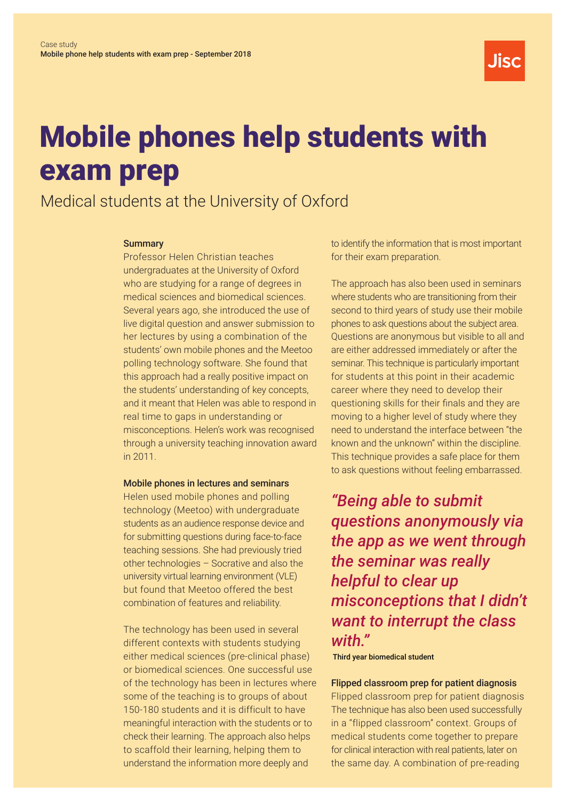

# Mobile phones help students with exam prep

# Medical students at the University of Oxford

## **Summary**

Professor Helen Christian teaches undergraduates at the University of Oxford who are studying for a range of degrees in medical sciences and biomedical sciences. Several years ago, she introduced the use of live digital question and answer submission to her lectures by using a combination of the students' own mobile phones and the Meetoo polling technology software. She found that this approach had a really positive impact on the students' understanding of key concepts, and it meant that Helen was able to respond in real time to gaps in understanding or misconceptions. Helen's work was recognised through a university teaching innovation award in 2011.

## Mobile phones in lectures and seminars

Helen used mobile phones and polling technology (Meetoo) with undergraduate students as an audience response device and for submitting questions during face-to-face teaching sessions. She had previously tried other technologies – Socrative and also the university virtual learning environment (VLE) but found that Meetoo offered the best combination of features and reliability.

The technology has been used in several different contexts with students studying either medical sciences (pre-clinical phase) or biomedical sciences. One successful use of the technology has been in lectures where some of the teaching is to groups of about 150-180 students and it is difficult to have meaningful interaction with the students or to check their learning. The approach also helps to scaffold their learning, helping them to understand the information more deeply and

to identify the information that is most important for their exam preparation.

The approach has also been used in seminars where students who are transitioning from their second to third years of study use their mobile phones to ask questions about the subject area. Questions are anonymous but visible to all and are either addressed immediately or after the seminar. This technique is particularly important for students at this point in their academic career where they need to develop their questioning skills for their finals and they are moving to a higher level of study where they need to understand the interface between "the known and the unknown" within the discipline. This technique provides a safe place for them to ask questions without feeling embarrassed.

*"Being able to submit questions anonymously via the app as we went through the seminar was really helpful to clear up misconceptions that I didn't want to interrupt the class with."*

Third year biomedical student

# Flipped classroom prep for patient diagnosis

Flipped classroom prep for patient diagnosis The technique has also been used successfully in a "flipped classroom" context. Groups of medical students come together to prepare for clinical interaction with real patients, later on the same day. A combination of pre-reading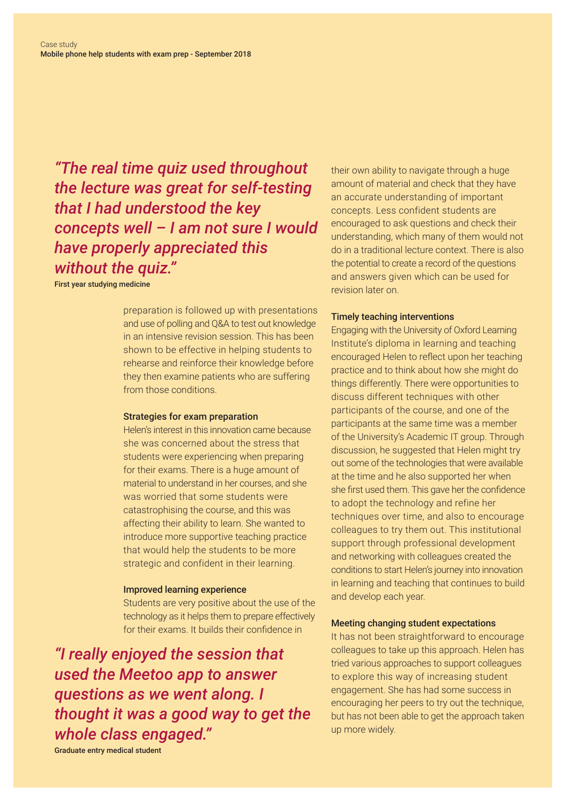*"The real time quiz used throughout the lecture was great for self-testing that I had understood the key concepts well – I am not sure I would have properly appreciated this without the quiz."* 

First year studying medicine

preparation is followed up with presentations and use of polling and Q&A to test out knowledge in an intensive revision session. This has been shown to be effective in helping students to rehearse and reinforce their knowledge before they then examine patients who are suffering from those conditions.

#### Strategies for exam preparation

Helen's interest in this innovation came because she was concerned about the stress that students were experiencing when preparing for their exams. There is a huge amount of material to understand in her courses, and she was worried that some students were catastrophising the course, and this was affecting their ability to learn. She wanted to introduce more supportive teaching practice that would help the students to be more strategic and confident in their learning.

#### Improved learning experience

Students are very positive about the use of the technology as it helps them to prepare effectively for their exams. It builds their confidence in

*"I really enjoyed the session that used the Meetoo app to answer questions as we went along. I thought it was a good way to get the whole class engaged."* 

their own ability to navigate through a huge amount of material and check that they have an accurate understanding of important concepts. Less confident students are encouraged to ask questions and check their understanding, which many of them would not do in a traditional lecture context. There is also the potential to create a record of the questions and answers given which can be used for revision later on.

#### Timely teaching interventions

Engaging with the University of Oxford Learning Institute's diploma in learning and teaching encouraged Helen to reflect upon her teaching practice and to think about how she might do things differently. There were opportunities to discuss different techniques with other participants of the course, and one of the participants at the same time was a member of the University's Academic IT group. Through discussion, he suggested that Helen might try out some of the technologies that were available at the time and he also supported her when she first used them. This gave her the confidence to adopt the technology and refine her techniques over time, and also to encourage colleagues to try them out. This institutional support through professional development and networking with colleagues created the conditions to start Helen's journey into innovation in learning and teaching that continues to build and develop each year.

#### Meeting changing student expectations

It has not been straightforward to encourage colleagues to take up this approach. Helen has tried various approaches to support colleagues to explore this way of increasing student engagement. She has had some success in encouraging her peers to try out the technique, but has not been able to get the approach taken up more widely.

Graduate entry medical student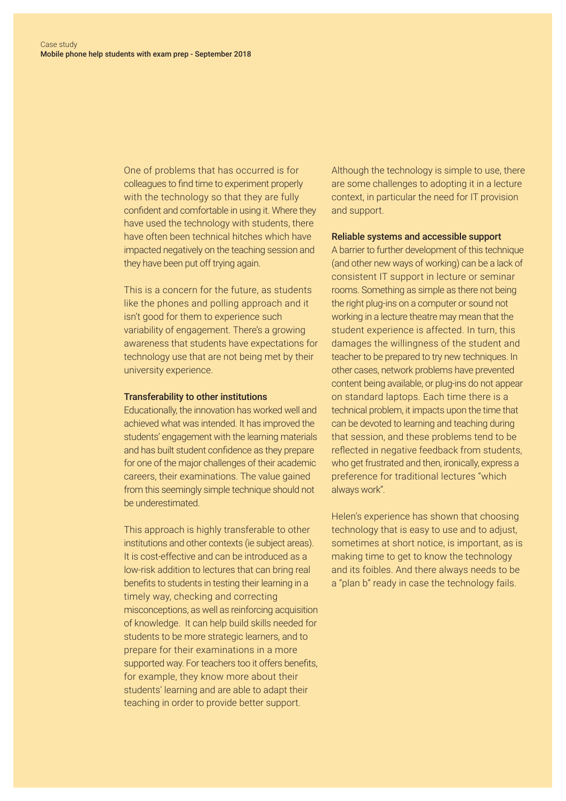One of problems that has occurred is for colleagues to find time to experiment properly with the technology so that they are fully confident and comfortable in using it. Where they have used the technology with students, there have often been technical hitches which have impacted negatively on the teaching session and they have been put off trying again.

This is a concern for the future, as students like the phones and polling approach and it isn't good for them to experience such variability of engagement. There's a growing awareness that students have expectations for technology use that are not being met by their university experience.

# Transferability to other institutions

Educationally, the innovation has worked well and achieved what was intended. It has improved the students' engagement with the learning materials and has built student confidence as they prepare for one of the major challenges of their academic careers, their examinations. The value gained from this seemingly simple technique should not be underestimated.

This approach is highly transferable to other institutions and other contexts (ie subject areas). It is cost-effective and can be introduced as a low-risk addition to lectures that can bring real benefits to students in testing their learning in a timely way, checking and correcting misconceptions, as well as reinforcing acquisition of knowledge. It can help build skills needed for students to be more strategic learners, and to prepare for their examinations in a more supported way. For teachers too it offers benefits, for example, they know more about their students' learning and are able to adapt their teaching in order to provide better support.

Although the technology is simple to use, there are some challenges to adopting it in a lecture context, in particular the need for IT provision and support.

#### Reliable systems and accessible support

A barrier to further development of this technique (and other new ways of working) can be a lack of consistent IT support in lecture or seminar rooms. Something as simple as there not being the right plug-ins on a computer or sound not working in a lecture theatre may mean that the student experience is affected. In turn, this damages the willingness of the student and teacher to be prepared to try new techniques. In other cases, network problems have prevented content being available, or plug-ins do not appear on standard laptops. Each time there is a technical problem, it impacts upon the time that can be devoted to learning and teaching during that session, and these problems tend to be reflected in negative feedback from students, who get frustrated and then, ironically, express a preference for traditional lectures "which always work".

Helen's experience has shown that choosing technology that is easy to use and to adjust, sometimes at short notice, is important, as is making time to get to know the technology and its foibles. And there always needs to be a "plan b" ready in case the technology fails.